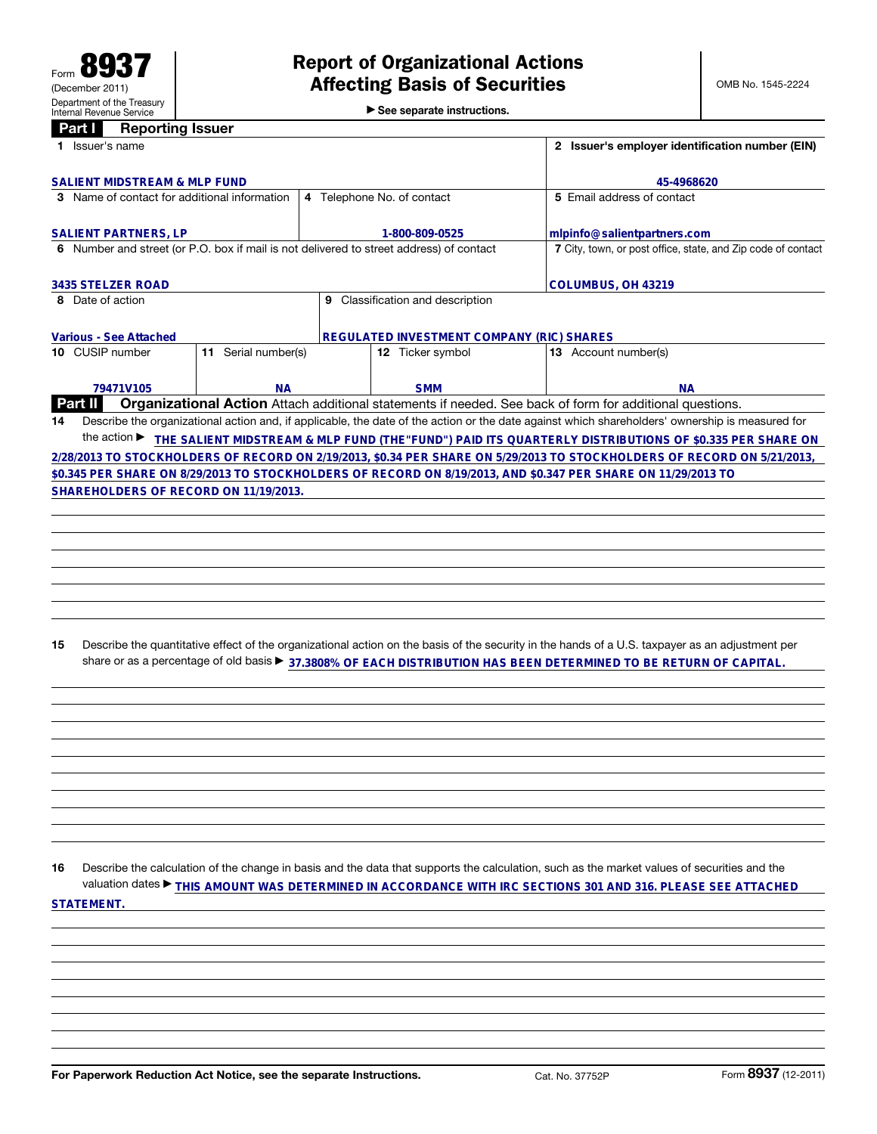| $\triangleright$ See separate instructions. |  |  |  |  |
|---------------------------------------------|--|--|--|--|
|---------------------------------------------|--|--|--|--|

| <b>Reporting Issuer</b><br>Part I                                                       |                            |                                                              |                                  |                                                                                                                                                 |
|-----------------------------------------------------------------------------------------|----------------------------|--------------------------------------------------------------|----------------------------------|-------------------------------------------------------------------------------------------------------------------------------------------------|
| 1 Issuer's name                                                                         |                            |                                                              |                                  | 2 Issuer's employer identification number (EIN)                                                                                                 |
| <b>SALIENT MIDSTREAM &amp; MLP FUND</b>                                                 |                            |                                                              |                                  |                                                                                                                                                 |
|                                                                                         |                            | 45-4968620                                                   |                                  |                                                                                                                                                 |
| 3 Name of contact for additional information                                            | 4 Telephone No. of contact | 5 Email address of contact                                   |                                  |                                                                                                                                                 |
| <b>SALIENT PARTNERS, LP</b>                                                             |                            | 1-800-809-0525                                               |                                  | mlpinfo@salientpartners.com                                                                                                                     |
| 6 Number and street (or P.O. box if mail is not delivered to street address) of contact |                            | 7 City, town, or post office, state, and Zip code of contact |                                  |                                                                                                                                                 |
| <b>3435 STELZER ROAD</b>                                                                |                            |                                                              |                                  | COLUMBUS, OH 43219                                                                                                                              |
| 8 Date of action                                                                        |                            |                                                              | 9 Classification and description |                                                                                                                                                 |
|                                                                                         |                            |                                                              |                                  |                                                                                                                                                 |
| <b>Various - See Attached</b>                                                           |                            | <b>REGULATED INVESTMENT COMPANY (RIC) SHARES</b>             |                                  |                                                                                                                                                 |
| 10 CUSIP number                                                                         | 11 Serial number(s)        |                                                              | 12 Ticker symbol                 | 13 Account number(s)                                                                                                                            |
|                                                                                         |                            |                                                              |                                  |                                                                                                                                                 |
| 79471V105                                                                               | <b>NA</b>                  |                                                              | <b>SMM</b>                       | <b>NA</b>                                                                                                                                       |
| Part II                                                                                 |                            |                                                              |                                  | Organizational Action Attach additional statements if needed. See back of form for additional questions.                                        |
| 14                                                                                      |                            |                                                              |                                  | Describe the organizational action and, if applicable, the date of the action or the date against which shareholders' ownership is measured for |
|                                                                                         |                            |                                                              |                                  | the action ▶ THE SALIENT MIDSTREAM & MLP FUND (THE"FUND") PAID ITS QUARTERLY DISTRIBUTIONS OF \$0.335 PER SHARE ON                              |
|                                                                                         |                            |                                                              |                                  | 2/28/2013 TO STOCKHOLDERS OF RECORD ON 2/19/2013, \$0.34 PER SHARE ON 5/29/2013 TO STOCKHOLDERS OF RECORD ON 5/21/2013,                         |
|                                                                                         |                            |                                                              |                                  | \$0.345 PER SHARE ON 8/29/2013 TO STOCKHOLDERS OF RECORD ON 8/19/2013, AND \$0.347 PER SHARE ON 11/29/2013 TO                                   |
| SHAREHOLDERS OF RECORD ON 11/19/2013.                                                   |                            |                                                              |                                  |                                                                                                                                                 |
|                                                                                         |                            |                                                              |                                  |                                                                                                                                                 |
|                                                                                         |                            |                                                              |                                  |                                                                                                                                                 |
|                                                                                         |                            |                                                              |                                  |                                                                                                                                                 |
|                                                                                         |                            |                                                              |                                  |                                                                                                                                                 |
|                                                                                         |                            |                                                              |                                  |                                                                                                                                                 |
|                                                                                         |                            |                                                              |                                  |                                                                                                                                                 |
|                                                                                         |                            |                                                              |                                  |                                                                                                                                                 |
| 15                                                                                      |                            |                                                              |                                  | Describe the quantitative effect of the organizational action on the basis of the security in the hands of a U.S. taxpayer as an adjustment per |
|                                                                                         |                            |                                                              |                                  | share or as a percentage of old basis ▶ 37.3808% OF EACH DISTRIBUTION HAS BEEN DETERMINED TO BE RETURN OF CAPITAL.                              |
|                                                                                         |                            |                                                              |                                  |                                                                                                                                                 |

16 Describe the calculation of the change in basis and the data that supports the calculation, such as the market values of securities and the valuation dates ▶ **THIS AMOUNT WAS DETERMINED IN ACCORDANCE WITH IRC SECTIONS 301 AND 316. PLEASE SEE ATTACHED STATEMENT.**